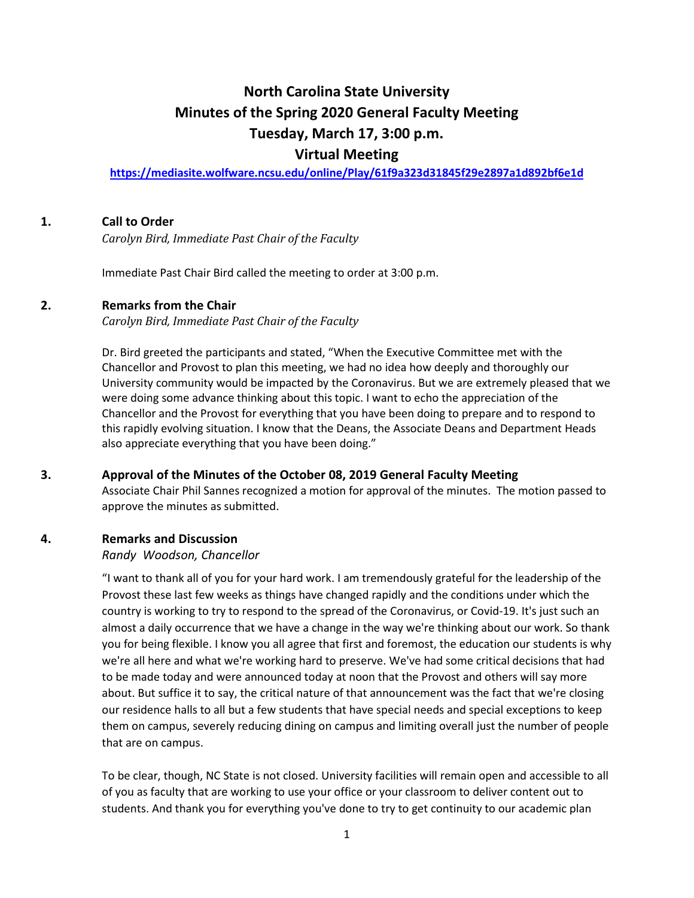# **North Carolina State University Minutes of the Spring 2020 General Faculty Meeting Tuesday, March 17, 3:00 p.m.**

## **Virtual Meeting**

**<https://mediasite.wolfware.ncsu.edu/online/Play/61f9a323d31845f29e2897a1d892bf6e1d>**

## **1. Call to Order**

*Carolyn Bird, Immediate Past Chair of the Faculty* 

Immediate Past Chair Bird called the meeting to order at 3:00 p.m.

### **2. Remarks from the Chair**

*Carolyn Bird, Immediate Past Chair of the Faculty*

Dr. Bird greeted the participants and stated, "When the Executive Committee met with the Chancellor and Provost to plan this meeting, we had no idea how deeply and thoroughly our University community would be impacted by the Coronavirus. But we are extremely pleased that we were doing some advance thinking about this topic. I want to echo the appreciation of the Chancellor and the Provost for everything that you have been doing to prepare and to respond to this rapidly evolving situation. I know that the Deans, the Associate Deans and Department Heads also appreciate everything that you have been doing."

#### **3. Approval of the Minutes of the October 08, 2019 General Faculty Meeting**

Associate Chair Phil Sannes recognized a motion for approval of the minutes. The motion passed to approve the minutes as submitted.

## **4. Remarks and Discussion**

#### *Randy Woodson, Chancellor*

"I want to thank all of you for your hard work. I am tremendously grateful for the leadership of the Provost these last few weeks as things have changed rapidly and the conditions under which the country is working to try to respond to the spread of the Coronavirus, or Covid-19. It's just such an almost a daily occurrence that we have a change in the way we're thinking about our work. So thank you for being flexible. I know you all agree that first and foremost, the education our students is why we're all here and what we're working hard to preserve. We've had some critical decisions that had to be made today and were announced today at noon that the Provost and others will say more about. But suffice it to say, the critical nature of that announcement was the fact that we're closing our residence halls to all but a few students that have special needs and special exceptions to keep them on campus, severely reducing dining on campus and limiting overall just the number of people that are on campus.

To be clear, though, NC State is not closed. University facilities will remain open and accessible to all of you as faculty that are working to use your office or your classroom to deliver content out to students. And thank you for everything you've done to try to get continuity to our academic plan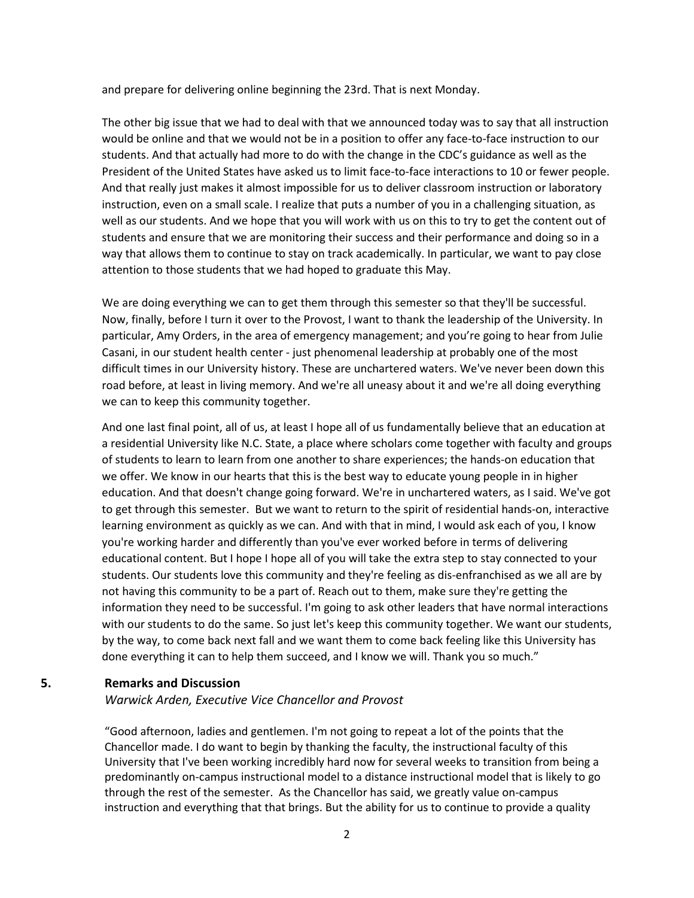and prepare for delivering online beginning the 23rd. That is next Monday.

The other big issue that we had to deal with that we announced today was to say that all instruction would be online and that we would not be in a position to offer any face-to-face instruction to our students. And that actually had more to do with the change in the CDC's guidance as well as the President of the United States have asked us to limit face-to-face interactions to 10 or fewer people. And that really just makes it almost impossible for us to deliver classroom instruction or laboratory instruction, even on a small scale. I realize that puts a number of you in a challenging situation, as well as our students. And we hope that you will work with us on this to try to get the content out of students and ensure that we are monitoring their success and their performance and doing so in a way that allows them to continue to stay on track academically. In particular, we want to pay close attention to those students that we had hoped to graduate this May.

We are doing everything we can to get them through this semester so that they'll be successful. Now, finally, before I turn it over to the Provost, I want to thank the leadership of the University. In particular, Amy Orders, in the area of emergency management; and you're going to hear from Julie Casani, in our student health center - just phenomenal leadership at probably one of the most difficult times in our University history. These are unchartered waters. We've never been down this road before, at least in living memory. And we're all uneasy about it and we're all doing everything we can to keep this community together.

And one last final point, all of us, at least I hope all of us fundamentally believe that an education at a residential University like N.C. State, a place where scholars come together with faculty and groups of students to learn to learn from one another to share experiences; the hands-on education that we offer. We know in our hearts that this is the best way to educate young people in in higher education. And that doesn't change going forward. We're in unchartered waters, as I said. We've got to get through this semester. But we want to return to the spirit of residential hands-on, interactive learning environment as quickly as we can. And with that in mind, I would ask each of you, I know you're working harder and differently than you've ever worked before in terms of delivering educational content. But I hope I hope all of you will take the extra step to stay connected to your students. Our students love this community and they're feeling as dis-enfranchised as we all are by not having this community to be a part of. Reach out to them, make sure they're getting the information they need to be successful. I'm going to ask other leaders that have normal interactions with our students to do the same. So just let's keep this community together. We want our students, by the way, to come back next fall and we want them to come back feeling like this University has done everything it can to help them succeed, and I know we will. Thank you so much."

#### **5. Remarks and Discussion**

#### *Warwick Arden, Executive Vice Chancellor and Provost*

"Good afternoon, ladies and gentlemen. I'm not going to repeat a lot of the points that the Chancellor made. I do want to begin by thanking the faculty, the instructional faculty of this University that I've been working incredibly hard now for several weeks to transition from being a predominantly on-campus instructional model to a distance instructional model that is likely to go through the rest of the semester. As the Chancellor has said, we greatly value on-campus instruction and everything that that brings. But the ability for us to continue to provide a quality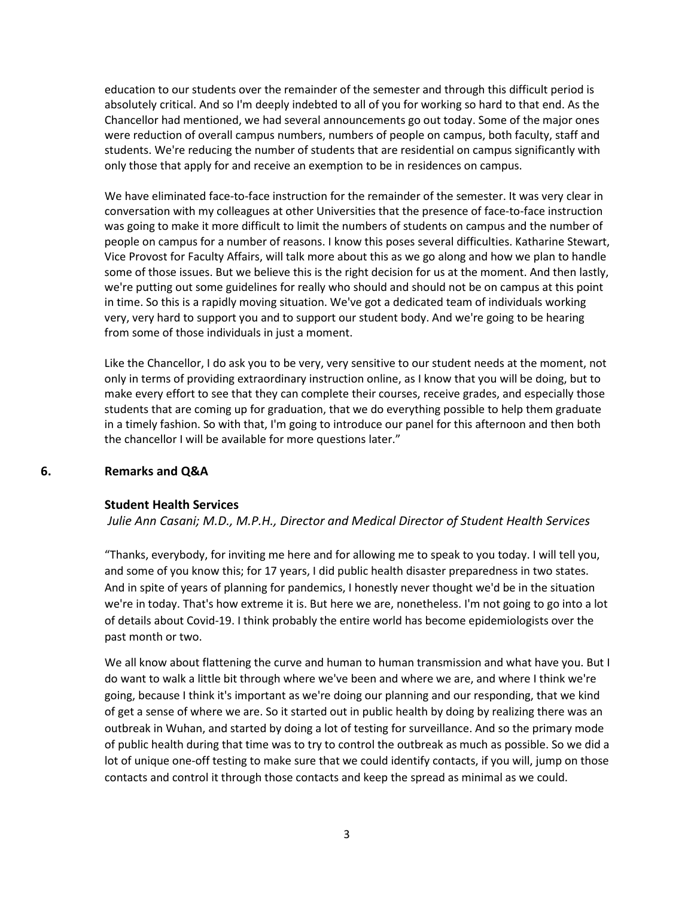education to our students over the remainder of the semester and through this difficult period is absolutely critical. And so I'm deeply indebted to all of you for working so hard to that end. As the Chancellor had mentioned, we had several announcements go out today. Some of the major ones were reduction of overall campus numbers, numbers of people on campus, both faculty, staff and students. We're reducing the number of students that are residential on campus significantly with only those that apply for and receive an exemption to be in residences on campus.

We have eliminated face-to-face instruction for the remainder of the semester. It was very clear in conversation with my colleagues at other Universities that the presence of face-to-face instruction was going to make it more difficult to limit the numbers of students on campus and the number of people on campus for a number of reasons. I know this poses several difficulties. Katharine Stewart, Vice Provost for Faculty Affairs, will talk more about this as we go along and how we plan to handle some of those issues. But we believe this is the right decision for us at the moment. And then lastly, we're putting out some guidelines for really who should and should not be on campus at this point in time. So this is a rapidly moving situation. We've got a dedicated team of individuals working very, very hard to support you and to support our student body. And we're going to be hearing from some of those individuals in just a moment.

Like the Chancellor, I do ask you to be very, very sensitive to our student needs at the moment, not only in terms of providing extraordinary instruction online, as I know that you will be doing, but to make every effort to see that they can complete their courses, receive grades, and especially those students that are coming up for graduation, that we do everything possible to help them graduate in a timely fashion. So with that, I'm going to introduce our panel for this afternoon and then both the chancellor I will be available for more questions later."

#### **6. Remarks and Q&A**

#### **Student Health Services**

*Julie Ann Casani; M.D., M.P.H., Director and Medical Director of Student Health Services*

"Thanks, everybody, for inviting me here and for allowing me to speak to you today. I will tell you, and some of you know this; for 17 years, I did public health disaster preparedness in two states. And in spite of years of planning for pandemics, I honestly never thought we'd be in the situation we're in today. That's how extreme it is. But here we are, nonetheless. I'm not going to go into a lot of details about Covid-19. I think probably the entire world has become epidemiologists over the past month or two.

We all know about flattening the curve and human to human transmission and what have you. But I do want to walk a little bit through where we've been and where we are, and where I think we're going, because I think it's important as we're doing our planning and our responding, that we kind of get a sense of where we are. So it started out in public health by doing by realizing there was an outbreak in Wuhan, and started by doing a lot of testing for surveillance. And so the primary mode of public health during that time was to try to control the outbreak as much as possible. So we did a lot of unique one-off testing to make sure that we could identify contacts, if you will, jump on those contacts and control it through those contacts and keep the spread as minimal as we could.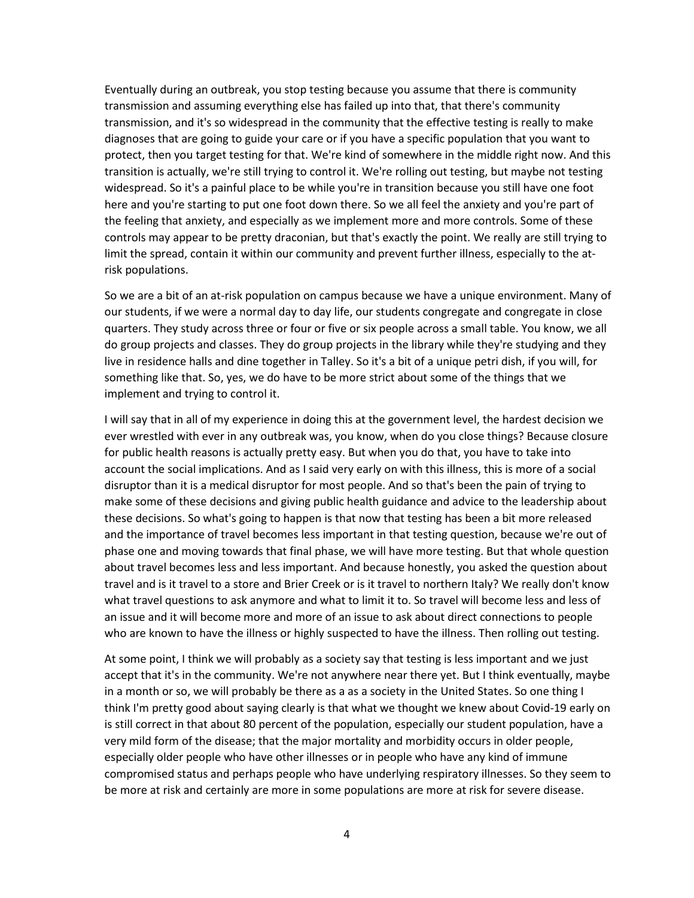Eventually during an outbreak, you stop testing because you assume that there is community transmission and assuming everything else has failed up into that, that there's community transmission, and it's so widespread in the community that the effective testing is really to make diagnoses that are going to guide your care or if you have a specific population that you want to protect, then you target testing for that. We're kind of somewhere in the middle right now. And this transition is actually, we're still trying to control it. We're rolling out testing, but maybe not testing widespread. So it's a painful place to be while you're in transition because you still have one foot here and you're starting to put one foot down there. So we all feel the anxiety and you're part of the feeling that anxiety, and especially as we implement more and more controls. Some of these controls may appear to be pretty draconian, but that's exactly the point. We really are still trying to limit the spread, contain it within our community and prevent further illness, especially to the atrisk populations.

So we are a bit of an at-risk population on campus because we have a unique environment. Many of our students, if we were a normal day to day life, our students congregate and congregate in close quarters. They study across three or four or five or six people across a small table. You know, we all do group projects and classes. They do group projects in the library while they're studying and they live in residence halls and dine together in Talley. So it's a bit of a unique petri dish, if you will, for something like that. So, yes, we do have to be more strict about some of the things that we implement and trying to control it.

I will say that in all of my experience in doing this at the government level, the hardest decision we ever wrestled with ever in any outbreak was, you know, when do you close things? Because closure for public health reasons is actually pretty easy. But when you do that, you have to take into account the social implications. And as I said very early on with this illness, this is more of a social disruptor than it is a medical disruptor for most people. And so that's been the pain of trying to make some of these decisions and giving public health guidance and advice to the leadership about these decisions. So what's going to happen is that now that testing has been a bit more released and the importance of travel becomes less important in that testing question, because we're out of phase one and moving towards that final phase, we will have more testing. But that whole question about travel becomes less and less important. And because honestly, you asked the question about travel and is it travel to a store and Brier Creek or is it travel to northern Italy? We really don't know what travel questions to ask anymore and what to limit it to. So travel will become less and less of an issue and it will become more and more of an issue to ask about direct connections to people who are known to have the illness or highly suspected to have the illness. Then rolling out testing.

At some point, I think we will probably as a society say that testing is less important and we just accept that it's in the community. We're not anywhere near there yet. But I think eventually, maybe in a month or so, we will probably be there as a as a society in the United States. So one thing I think I'm pretty good about saying clearly is that what we thought we knew about Covid-19 early on is still correct in that about 80 percent of the population, especially our student population, have a very mild form of the disease; that the major mortality and morbidity occurs in older people, especially older people who have other illnesses or in people who have any kind of immune compromised status and perhaps people who have underlying respiratory illnesses. So they seem to be more at risk and certainly are more in some populations are more at risk for severe disease.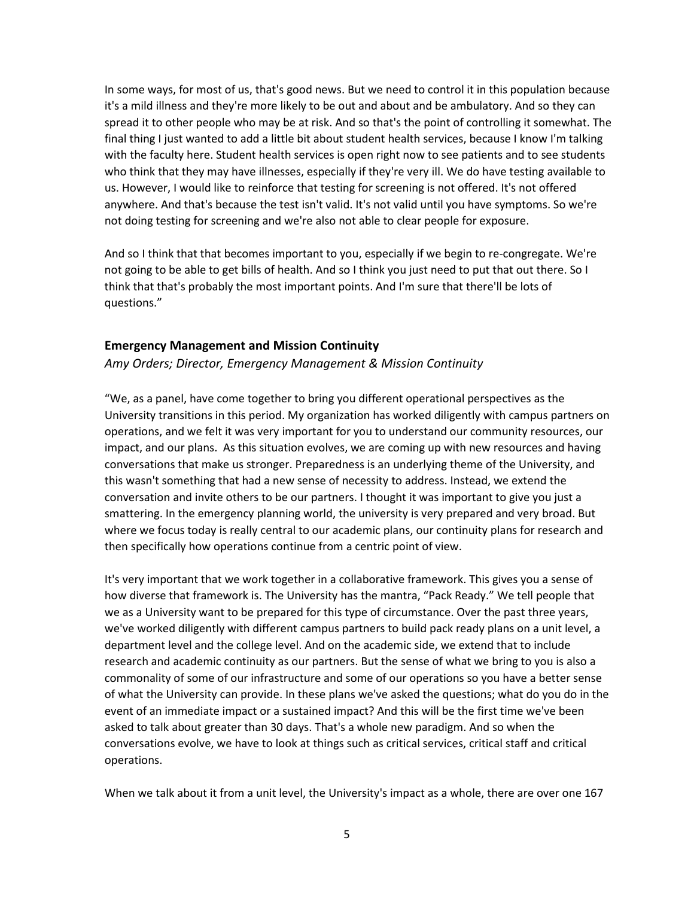In some ways, for most of us, that's good news. But we need to control it in this population because it's a mild illness and they're more likely to be out and about and be ambulatory. And so they can spread it to other people who may be at risk. And so that's the point of controlling it somewhat. The final thing I just wanted to add a little bit about student health services, because I know I'm talking with the faculty here. Student health services is open right now to see patients and to see students who think that they may have illnesses, especially if they're very ill. We do have testing available to us. However, I would like to reinforce that testing for screening is not offered. It's not offered anywhere. And that's because the test isn't valid. It's not valid until you have symptoms. So we're not doing testing for screening and we're also not able to clear people for exposure.

And so I think that that becomes important to you, especially if we begin to re-congregate. We're not going to be able to get bills of health. And so I think you just need to put that out there. So I think that that's probably the most important points. And I'm sure that there'll be lots of questions."

#### **Emergency Management and Mission Continuity**

#### *Amy Orders; Director, Emergency Management & Mission Continuity*

"We, as a panel, have come together to bring you different operational perspectives as the University transitions in this period. My organization has worked diligently with campus partners on operations, and we felt it was very important for you to understand our community resources, our impact, and our plans. As this situation evolves, we are coming up with new resources and having conversations that make us stronger. Preparedness is an underlying theme of the University, and this wasn't something that had a new sense of necessity to address. Instead, we extend the conversation and invite others to be our partners. I thought it was important to give you just a smattering. In the emergency planning world, the university is very prepared and very broad. But where we focus today is really central to our academic plans, our continuity plans for research and then specifically how operations continue from a centric point of view.

It's very important that we work together in a collaborative framework. This gives you a sense of how diverse that framework is. The University has the mantra, "Pack Ready." We tell people that we as a University want to be prepared for this type of circumstance. Over the past three years, we've worked diligently with different campus partners to build pack ready plans on a unit level, a department level and the college level. And on the academic side, we extend that to include research and academic continuity as our partners. But the sense of what we bring to you is also a commonality of some of our infrastructure and some of our operations so you have a better sense of what the University can provide. In these plans we've asked the questions; what do you do in the event of an immediate impact or a sustained impact? And this will be the first time we've been asked to talk about greater than 30 days. That's a whole new paradigm. And so when the conversations evolve, we have to look at things such as critical services, critical staff and critical operations.

When we talk about it from a unit level, the University's impact as a whole, there are over one 167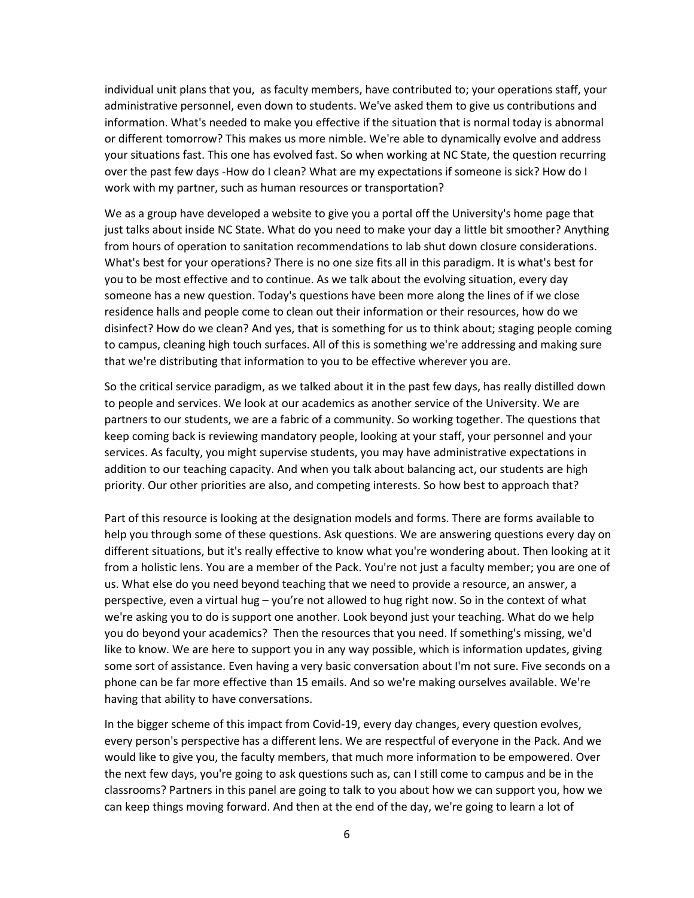individual unit plans that you, as faculty members, have contributed to; your operations staff, your administrative personnel, even down to students. We've asked them to give us contributions and information. What's needed to make you effective if the situation that is normal today is abnormal or different tomorrow? This makes us more nimble. We're able to dynamically evolve and address your situations fast. This one has evolved fast. So when working at NC State, the question recurring over the past few days -How do I clean? What are my expectations if someone is sick? How do I work with my partner, such as human resources or transportation?

We as a group have developed a website to give you a portal off the University's home page that just talks about inside NC State. What do you need to make your day a little bit smoother? Anything from hours of operation to sanitation recommendations to lab shut down closure considerations. What's best for your operations? There is no one size fits all in this paradigm. It is what's best for you to be most effective and to continue. As we talk about the evolving situation, every day someone has a new question. Today's questions have been more along the lines of if we close residence halls and people come to clean out their information or their resources, how do we disinfect? How do we clean? And yes, that is something for us to think about; staging people coming to campus, cleaning high touch surfaces. All of this is something we're addressing and making sure that we're distributing that information to you to be effective wherever you are.

So the critical service paradigm, as we talked about it in the past few days, has really distilled down to people and services. We look at our academics as another service of the University. We are partners to our students, we are a fabric of a community. So working together. The questions that keep coming back is reviewing mandatory people, looking at your staff, your personnel and your services. As faculty, you might supervise students, you may have administrative expectations in addition to our teaching capacity. And when you talk about balancing act, our students are high priority. Our other priorities are also, and competing interests. So how best to approach that?

Part of this resource is looking at the designation models and forms. There are forms available to help you through some of these questions. Ask questions. We are answering questions every day on different situations, but it's really effective to know what you're wondering about. Then looking at it from a holistic lens. You are a member of the Pack. You're not just a faculty member; you are one of us. What else do you need beyond teaching that we need to provide a resource, an answer, a perspective, even a virtual hug – you're not allowed to hug right now. So in the context of what we're asking you to do is support one another. Look beyond just your teaching. What do we help you do beyond your academics? Then the resources that you need. If something's missing, we'd like to know. We are here to support you in any way possible, which is information updates, giving some sort of assistance. Even having a very basic conversation about I'm not sure. Five seconds on a phone can be far more effective than 15 emails. And so we're making ourselves available. We're having that ability to have conversations.

In the bigger scheme of this impact from Covid-19, every day changes, every question evolves, every person's perspective has a different lens. We are respectful of everyone in the Pack. And we would like to give you, the faculty members, that much more information to be empowered. Over the next few days, you're going to ask questions such as, can I still come to campus and be in the classrooms? Partners in this panel are going to talk to you about how we can support you, how we can keep things moving forward. And then at the end of the day, we're going to learn a lot of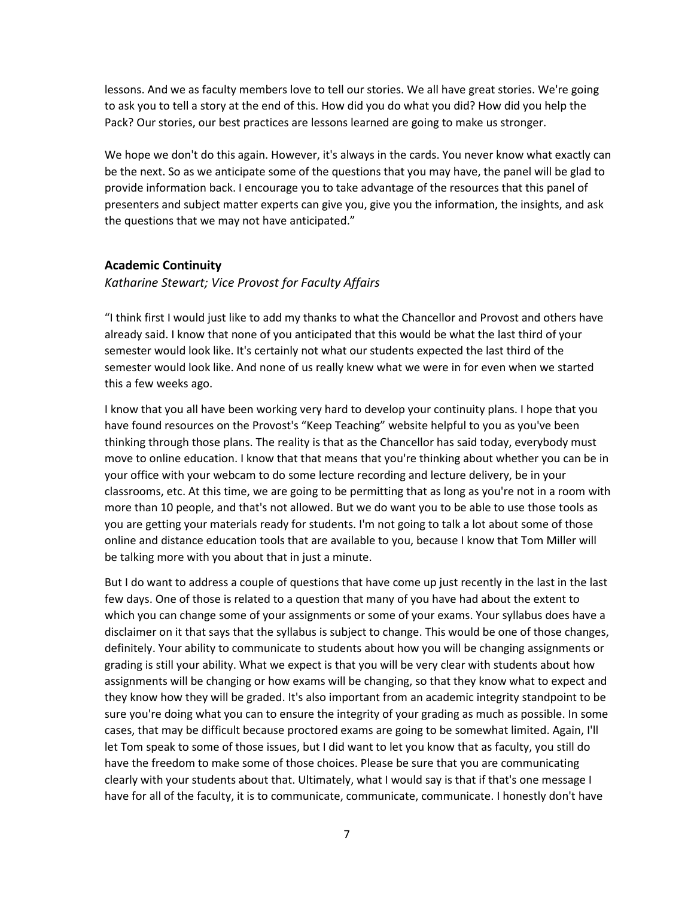lessons. And we as faculty members love to tell our stories. We all have great stories. We're going to ask you to tell a story at the end of this. How did you do what you did? How did you help the Pack? Our stories, our best practices are lessons learned are going to make us stronger.

We hope we don't do this again. However, it's always in the cards. You never know what exactly can be the next. So as we anticipate some of the questions that you may have, the panel will be glad to provide information back. I encourage you to take advantage of the resources that this panel of presenters and subject matter experts can give you, give you the information, the insights, and ask the questions that we may not have anticipated."

#### **Academic Continuity**

*Katharine Stewart; Vice Provost for Faculty Affairs* 

"I think first I would just like to add my thanks to what the Chancellor and Provost and others have already said. I know that none of you anticipated that this would be what the last third of your semester would look like. It's certainly not what our students expected the last third of the semester would look like. And none of us really knew what we were in for even when we started this a few weeks ago.

I know that you all have been working very hard to develop your continuity plans. I hope that you have found resources on the Provost's "Keep Teaching" website helpful to you as you've been thinking through those plans. The reality is that as the Chancellor has said today, everybody must move to online education. I know that that means that you're thinking about whether you can be in your office with your webcam to do some lecture recording and lecture delivery, be in your classrooms, etc. At this time, we are going to be permitting that as long as you're not in a room with more than 10 people, and that's not allowed. But we do want you to be able to use those tools as you are getting your materials ready for students. I'm not going to talk a lot about some of those online and distance education tools that are available to you, because I know that Tom Miller will be talking more with you about that in just a minute.

But I do want to address a couple of questions that have come up just recently in the last in the last few days. One of those is related to a question that many of you have had about the extent to which you can change some of your assignments or some of your exams. Your syllabus does have a disclaimer on it that says that the syllabus is subject to change. This would be one of those changes, definitely. Your ability to communicate to students about how you will be changing assignments or grading is still your ability. What we expect is that you will be very clear with students about how assignments will be changing or how exams will be changing, so that they know what to expect and they know how they will be graded. It's also important from an academic integrity standpoint to be sure you're doing what you can to ensure the integrity of your grading as much as possible. In some cases, that may be difficult because proctored exams are going to be somewhat limited. Again, I'll let Tom speak to some of those issues, but I did want to let you know that as faculty, you still do have the freedom to make some of those choices. Please be sure that you are communicating clearly with your students about that. Ultimately, what I would say is that if that's one message I have for all of the faculty, it is to communicate, communicate, communicate. I honestly don't have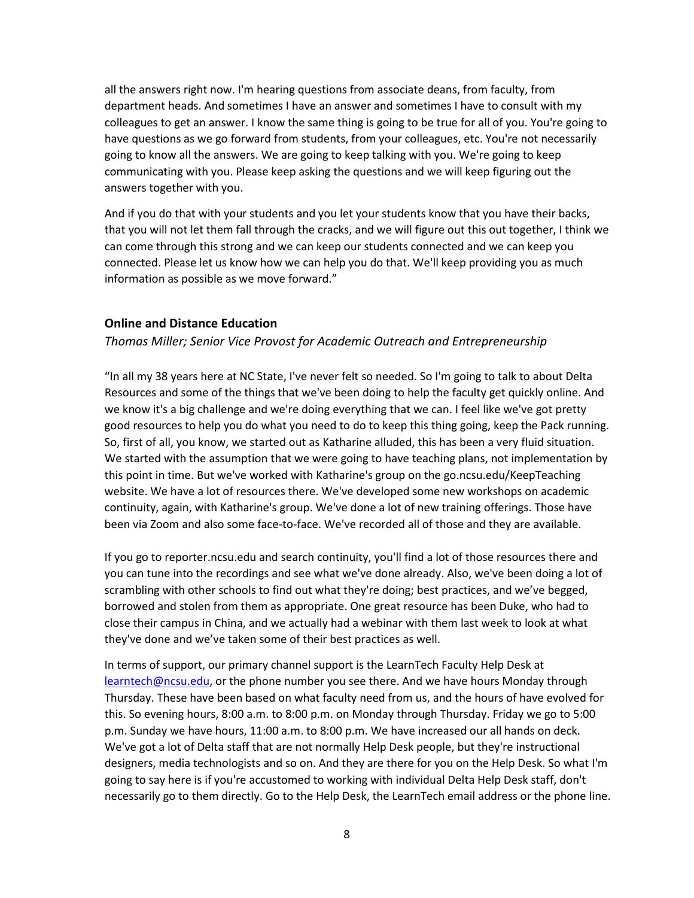all the answers right now. I'm hearing questions from associate deans, from faculty, from department heads. And sometimes I have an answer and sometimes I have to consult with my colleagues to get an answer. I know the same thing is going to be true for all of you. You're going to have questions as we go forward from students, from your colleagues, etc. You're not necessarily going to know all the answers. We are going to keep talking with you. We're going to keep communicating with you. Please keep asking the questions and we will keep figuring out the answers together with you.

And if you do that with your students and you let your students know that you have their backs, that you will not let them fall through the cracks, and we will figure out this out together, I think we can come through this strong and we can keep our students connected and we can keep you connected. Please let us know how we can help you do that. We'll keep providing you as much information as possible as we move forward."

#### **Online and Distance Education**

#### *Thomas Miller; Senior Vice Provost for Academic Outreach and Entrepreneurship*

"In all my 38 years here at NC State, I've never felt so needed. So I'm going to talk to about Delta Resources and some of the things that we've been doing to help the faculty get quickly online. And we know it's a big challenge and we're doing everything that we can. I feel like we've got pretty good resources to help you do what you need to do to keep this thing going, keep the Pack running. So, first of all, you know, we started out as Katharine alluded, this has been a very fluid situation. We started with the assumption that we were going to have teaching plans, not implementation by this point in time. But we've worked with Katharine's group on the go.ncsu.edu/KeepTeaching website. We have a lot of resources there. We've developed some new workshops on academic continuity, again, with Katharine's group. We've done a lot of new training offerings. Those have been via Zoom and also some face-to-face. We've recorded all of those and they are available.

If you go to reporter.ncsu.edu and search continuity, you'll find a lot of those resources there and you can tune into the recordings and see what we've done already. Also, we've been doing a lot of scrambling with other schools to find out what they're doing; best practices, and we've begged, borrowed and stolen from them as appropriate. One great resource has been Duke, who had to close their campus in China, and we actually had a webinar with them last week to look at what they've done and we've taken some of their best practices as well.

In terms of support, our primary channel support is the LearnTech Faculty Help Desk at [learntech@ncsu.edu,](mailto:learntech@ncsu.edu) or the phone number you see there. And we have hours Monday through Thursday. These have been based on what faculty need from us, and the hours of have evolved for this. So evening hours, 8:00 a.m. to 8:00 p.m. on Monday through Thursday. Friday we go to 5:00 p.m. Sunday we have hours, 11:00 a.m. to 8:00 p.m. We have increased our all hands on deck. We've got a lot of Delta staff that are not normally Help Desk people, but they're instructional designers, media technologists and so on. And they are there for you on the Help Desk. So what I'm going to say here is if you're accustomed to working with individual Delta Help Desk staff, don't necessarily go to them directly. Go to the Help Desk, the LearnTech email address or the phone line.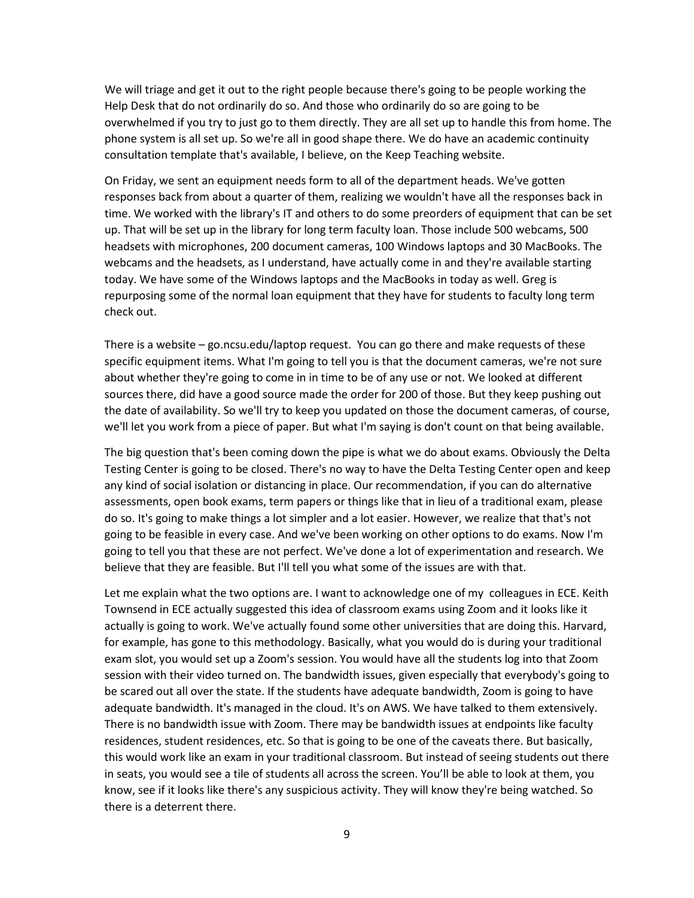We will triage and get it out to the right people because there's going to be people working the Help Desk that do not ordinarily do so. And those who ordinarily do so are going to be overwhelmed if you try to just go to them directly. They are all set up to handle this from home. The phone system is all set up. So we're all in good shape there. We do have an academic continuity consultation template that's available, I believe, on the Keep Teaching website.

On Friday, we sent an equipment needs form to all of the department heads. We've gotten responses back from about a quarter of them, realizing we wouldn't have all the responses back in time. We worked with the library's IT and others to do some preorders of equipment that can be set up. That will be set up in the library for long term faculty loan. Those include 500 webcams, 500 headsets with microphones, 200 document cameras, 100 Windows laptops and 30 MacBooks. The webcams and the headsets, as I understand, have actually come in and they're available starting today. We have some of the Windows laptops and the MacBooks in today as well. Greg is repurposing some of the normal loan equipment that they have for students to faculty long term check out.

There is a website – go.ncsu.edu/laptop request. You can go there and make requests of these specific equipment items. What I'm going to tell you is that the document cameras, we're not sure about whether they're going to come in in time to be of any use or not. We looked at different sources there, did have a good source made the order for 200 of those. But they keep pushing out the date of availability. So we'll try to keep you updated on those the document cameras, of course, we'll let you work from a piece of paper. But what I'm saying is don't count on that being available.

The big question that's been coming down the pipe is what we do about exams. Obviously the Delta Testing Center is going to be closed. There's no way to have the Delta Testing Center open and keep any kind of social isolation or distancing in place. Our recommendation, if you can do alternative assessments, open book exams, term papers or things like that in lieu of a traditional exam, please do so. It's going to make things a lot simpler and a lot easier. However, we realize that that's not going to be feasible in every case. And we've been working on other options to do exams. Now I'm going to tell you that these are not perfect. We've done a lot of experimentation and research. We believe that they are feasible. But I'll tell you what some of the issues are with that.

Let me explain what the two options are. I want to acknowledge one of my colleagues in ECE. Keith Townsend in ECE actually suggested this idea of classroom exams using Zoom and it looks like it actually is going to work. We've actually found some other universities that are doing this. Harvard, for example, has gone to this methodology. Basically, what you would do is during your traditional exam slot, you would set up a Zoom's session. You would have all the students log into that Zoom session with their video turned on. The bandwidth issues, given especially that everybody's going to be scared out all over the state. If the students have adequate bandwidth, Zoom is going to have adequate bandwidth. It's managed in the cloud. It's on AWS. We have talked to them extensively. There is no bandwidth issue with Zoom. There may be bandwidth issues at endpoints like faculty residences, student residences, etc. So that is going to be one of the caveats there. But basically, this would work like an exam in your traditional classroom. But instead of seeing students out there in seats, you would see a tile of students all across the screen. You'll be able to look at them, you know, see if it looks like there's any suspicious activity. They will know they're being watched. So there is a deterrent there.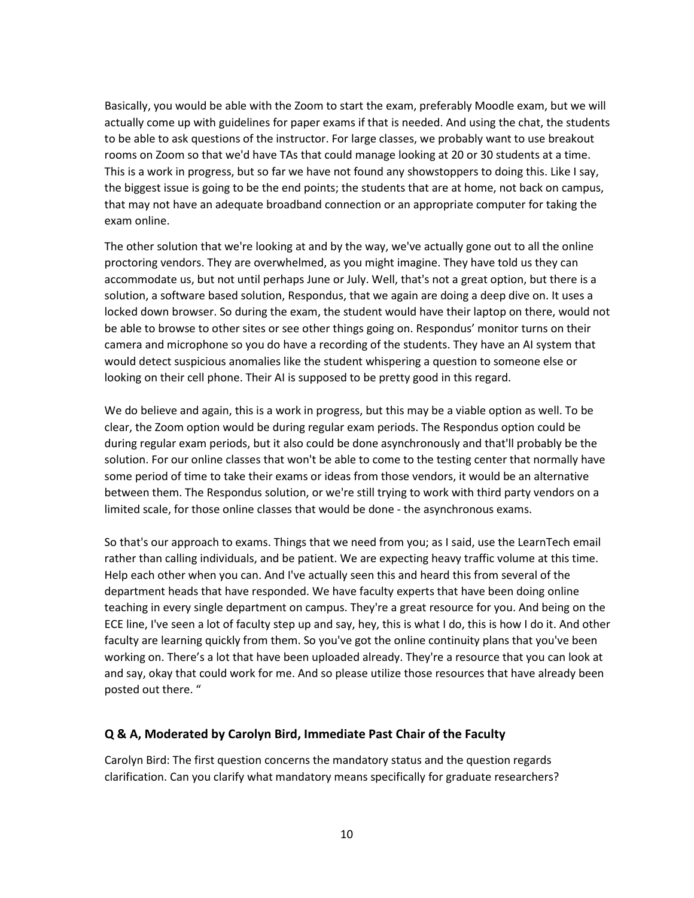Basically, you would be able with the Zoom to start the exam, preferably Moodle exam, but we will actually come up with guidelines for paper exams if that is needed. And using the chat, the students to be able to ask questions of the instructor. For large classes, we probably want to use breakout rooms on Zoom so that we'd have TAs that could manage looking at 20 or 30 students at a time. This is a work in progress, but so far we have not found any showstoppers to doing this. Like I say, the biggest issue is going to be the end points; the students that are at home, not back on campus, that may not have an adequate broadband connection or an appropriate computer for taking the exam online.

The other solution that we're looking at and by the way, we've actually gone out to all the online proctoring vendors. They are overwhelmed, as you might imagine. They have told us they can accommodate us, but not until perhaps June or July. Well, that's not a great option, but there is a solution, a software based solution, Respondus, that we again are doing a deep dive on. It uses a locked down browser. So during the exam, the student would have their laptop on there, would not be able to browse to other sites or see other things going on. Respondus' monitor turns on their camera and microphone so you do have a recording of the students. They have an AI system that would detect suspicious anomalies like the student whispering a question to someone else or looking on their cell phone. Their AI is supposed to be pretty good in this regard.

We do believe and again, this is a work in progress, but this may be a viable option as well. To be clear, the Zoom option would be during regular exam periods. The Respondus option could be during regular exam periods, but it also could be done asynchronously and that'll probably be the solution. For our online classes that won't be able to come to the testing center that normally have some period of time to take their exams or ideas from those vendors, it would be an alternative between them. The Respondus solution, or we're still trying to work with third party vendors on a limited scale, for those online classes that would be done - the asynchronous exams.

So that's our approach to exams. Things that we need from you; as I said, use the LearnTech email rather than calling individuals, and be patient. We are expecting heavy traffic volume at this time. Help each other when you can. And I've actually seen this and heard this from several of the department heads that have responded. We have faculty experts that have been doing online teaching in every single department on campus. They're a great resource for you. And being on the ECE line, I've seen a lot of faculty step up and say, hey, this is what I do, this is how I do it. And other faculty are learning quickly from them. So you've got the online continuity plans that you've been working on. There's a lot that have been uploaded already. They're a resource that you can look at and say, okay that could work for me. And so please utilize those resources that have already been posted out there. "

#### **Q & A, Moderated by Carolyn Bird, Immediate Past Chair of the Faculty**

Carolyn Bird: The first question concerns the mandatory status and the question regards clarification. Can you clarify what mandatory means specifically for graduate researchers?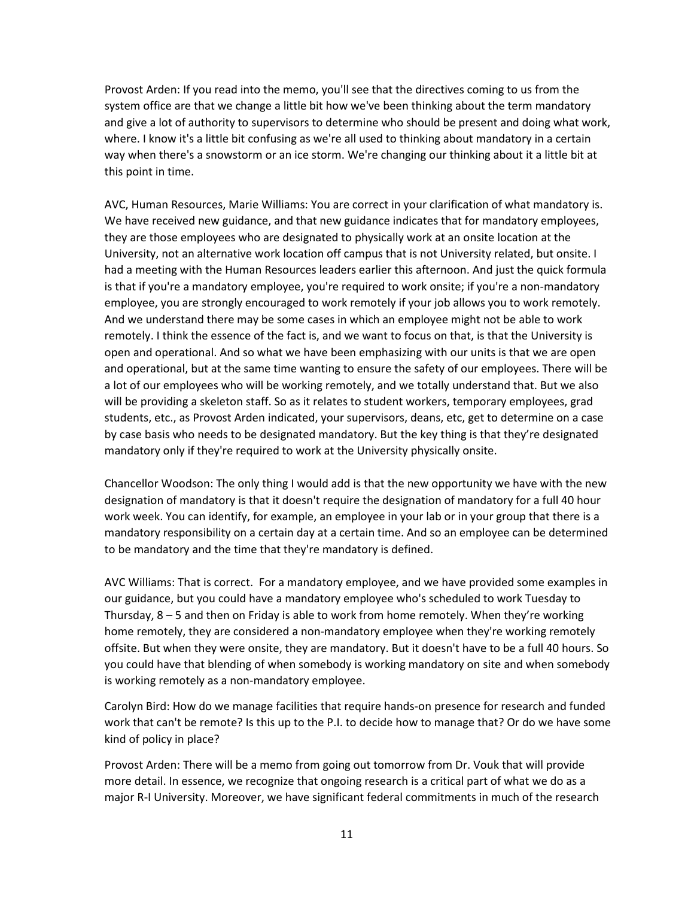Provost Arden: If you read into the memo, you'll see that the directives coming to us from the system office are that we change a little bit how we've been thinking about the term mandatory and give a lot of authority to supervisors to determine who should be present and doing what work, where. I know it's a little bit confusing as we're all used to thinking about mandatory in a certain way when there's a snowstorm or an ice storm. We're changing our thinking about it a little bit at this point in time.

AVC, Human Resources, Marie Williams: You are correct in your clarification of what mandatory is. We have received new guidance, and that new guidance indicates that for mandatory employees, they are those employees who are designated to physically work at an onsite location at the University, not an alternative work location off campus that is not University related, but onsite. I had a meeting with the Human Resources leaders earlier this afternoon. And just the quick formula is that if you're a mandatory employee, you're required to work onsite; if you're a non-mandatory employee, you are strongly encouraged to work remotely if your job allows you to work remotely. And we understand there may be some cases in which an employee might not be able to work remotely. I think the essence of the fact is, and we want to focus on that, is that the University is open and operational. And so what we have been emphasizing with our units is that we are open and operational, but at the same time wanting to ensure the safety of our employees. There will be a lot of our employees who will be working remotely, and we totally understand that. But we also will be providing a skeleton staff. So as it relates to student workers, temporary employees, grad students, etc., as Provost Arden indicated, your supervisors, deans, etc, get to determine on a case by case basis who needs to be designated mandatory. But the key thing is that they're designated mandatory only if they're required to work at the University physically onsite.

Chancellor Woodson: The only thing I would add is that the new opportunity we have with the new designation of mandatory is that it doesn't require the designation of mandatory for a full 40 hour work week. You can identify, for example, an employee in your lab or in your group that there is a mandatory responsibility on a certain day at a certain time. And so an employee can be determined to be mandatory and the time that they're mandatory is defined.

AVC Williams: That is correct. For a mandatory employee, and we have provided some examples in our guidance, but you could have a mandatory employee who's scheduled to work Tuesday to Thursday, 8 – 5 and then on Friday is able to work from home remotely. When they're working home remotely, they are considered a non-mandatory employee when they're working remotely offsite. But when they were onsite, they are mandatory. But it doesn't have to be a full 40 hours. So you could have that blending of when somebody is working mandatory on site and when somebody is working remotely as a non-mandatory employee.

Carolyn Bird: How do we manage facilities that require hands-on presence for research and funded work that can't be remote? Is this up to the P.I. to decide how to manage that? Or do we have some kind of policy in place?

Provost Arden: There will be a memo from going out tomorrow from Dr. Vouk that will provide more detail. In essence, we recognize that ongoing research is a critical part of what we do as a major R-I University. Moreover, we have significant federal commitments in much of the research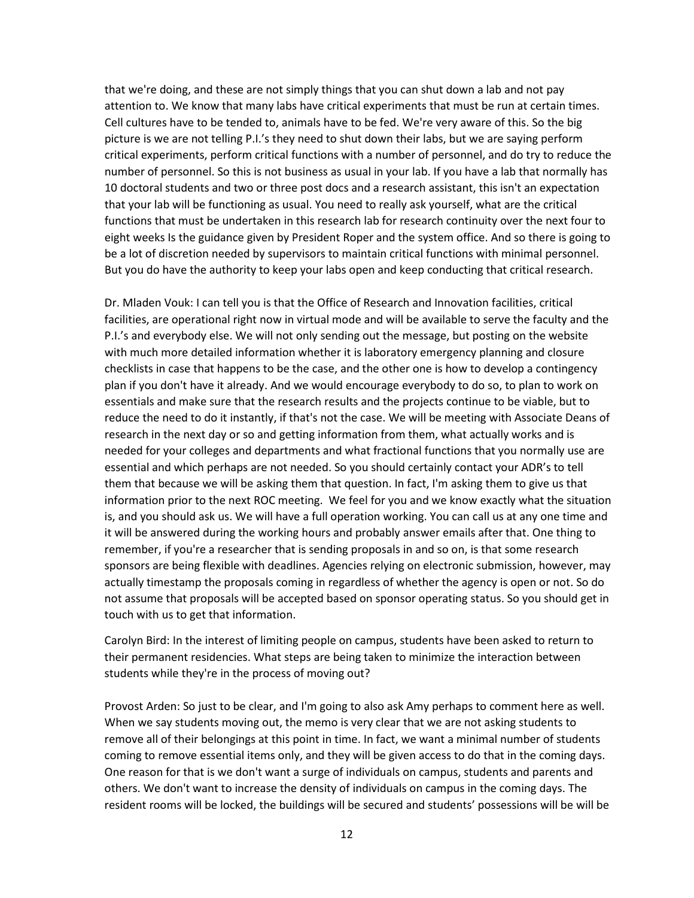that we're doing, and these are not simply things that you can shut down a lab and not pay attention to. We know that many labs have critical experiments that must be run at certain times. Cell cultures have to be tended to, animals have to be fed. We're very aware of this. So the big picture is we are not telling P.I.'s they need to shut down their labs, but we are saying perform critical experiments, perform critical functions with a number of personnel, and do try to reduce the number of personnel. So this is not business as usual in your lab. If you have a lab that normally has 10 doctoral students and two or three post docs and a research assistant, this isn't an expectation that your lab will be functioning as usual. You need to really ask yourself, what are the critical functions that must be undertaken in this research lab for research continuity over the next four to eight weeks Is the guidance given by President Roper and the system office. And so there is going to be a lot of discretion needed by supervisors to maintain critical functions with minimal personnel. But you do have the authority to keep your labs open and keep conducting that critical research.

Dr. Mladen Vouk: I can tell you is that the Office of Research and Innovation facilities, critical facilities, are operational right now in virtual mode and will be available to serve the faculty and the P.I.'s and everybody else. We will not only sending out the message, but posting on the website with much more detailed information whether it is laboratory emergency planning and closure checklists in case that happens to be the case, and the other one is how to develop a contingency plan if you don't have it already. And we would encourage everybody to do so, to plan to work on essentials and make sure that the research results and the projects continue to be viable, but to reduce the need to do it instantly, if that's not the case. We will be meeting with Associate Deans of research in the next day or so and getting information from them, what actually works and is needed for your colleges and departments and what fractional functions that you normally use are essential and which perhaps are not needed. So you should certainly contact your ADR's to tell them that because we will be asking them that question. In fact, I'm asking them to give us that information prior to the next ROC meeting. We feel for you and we know exactly what the situation is, and you should ask us. We will have a full operation working. You can call us at any one time and it will be answered during the working hours and probably answer emails after that. One thing to remember, if you're a researcher that is sending proposals in and so on, is that some research sponsors are being flexible with deadlines. Agencies relying on electronic submission, however, may actually timestamp the proposals coming in regardless of whether the agency is open or not. So do not assume that proposals will be accepted based on sponsor operating status. So you should get in touch with us to get that information.

Carolyn Bird: In the interest of limiting people on campus, students have been asked to return to their permanent residencies. What steps are being taken to minimize the interaction between students while they're in the process of moving out?

Provost Arden: So just to be clear, and I'm going to also ask Amy perhaps to comment here as well. When we say students moving out, the memo is very clear that we are not asking students to remove all of their belongings at this point in time. In fact, we want a minimal number of students coming to remove essential items only, and they will be given access to do that in the coming days. One reason for that is we don't want a surge of individuals on campus, students and parents and others. We don't want to increase the density of individuals on campus in the coming days. The resident rooms will be locked, the buildings will be secured and students' possessions will be will be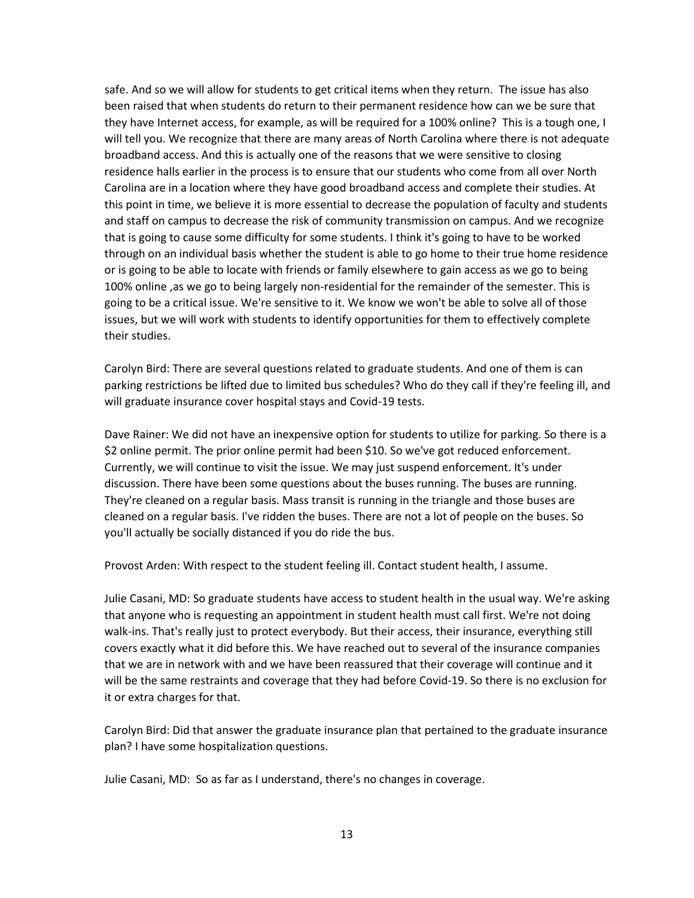safe. And so we will allow for students to get critical items when they return. The issue has also been raised that when students do return to their permanent residence how can we be sure that they have Internet access, for example, as will be required for a 100% online? This is a tough one, I will tell you. We recognize that there are many areas of North Carolina where there is not adequate broadband access. And this is actually one of the reasons that we were sensitive to closing residence halls earlier in the process is to ensure that our students who come from all over North Carolina are in a location where they have good broadband access and complete their studies. At this point in time, we believe it is more essential to decrease the population of faculty and students and staff on campus to decrease the risk of community transmission on campus. And we recognize that is going to cause some difficulty for some students. I think it's going to have to be worked through on an individual basis whether the student is able to go home to their true home residence or is going to be able to locate with friends or family elsewhere to gain access as we go to being 100% online ,as we go to being largely non-residential for the remainder of the semester. This is going to be a critical issue. We're sensitive to it. We know we won't be able to solve all of those issues, but we will work with students to identify opportunities for them to effectively complete their studies.

Carolyn Bird: There are several questions related to graduate students. And one of them is can parking restrictions be lifted due to limited bus schedules? Who do they call if they're feeling ill, and will graduate insurance cover hospital stays and Covid-19 tests.

Dave Rainer: We did not have an inexpensive option for students to utilize for parking. So there is a \$2 online permit. The prior online permit had been \$10. So we've got reduced enforcement. Currently, we will continue to visit the issue. We may just suspend enforcement. It's under discussion. There have been some questions about the buses running. The buses are running. They're cleaned on a regular basis. Mass transit is running in the triangle and those buses are cleaned on a regular basis. I've ridden the buses. There are not a lot of people on the buses. So you'll actually be socially distanced if you do ride the bus.

Provost Arden: With respect to the student feeling ill. Contact student health, I assume.

Julie Casani, MD: So graduate students have access to student health in the usual way. We're asking that anyone who is requesting an appointment in student health must call first. We're not doing walk-ins. That's really just to protect everybody. But their access, their insurance, everything still covers exactly what it did before this. We have reached out to several of the insurance companies that we are in network with and we have been reassured that their coverage will continue and it will be the same restraints and coverage that they had before Covid-19. So there is no exclusion for it or extra charges for that.

Carolyn Bird: Did that answer the graduate insurance plan that pertained to the graduate insurance plan? I have some hospitalization questions.

Julie Casani, MD: So as far as I understand, there's no changes in coverage.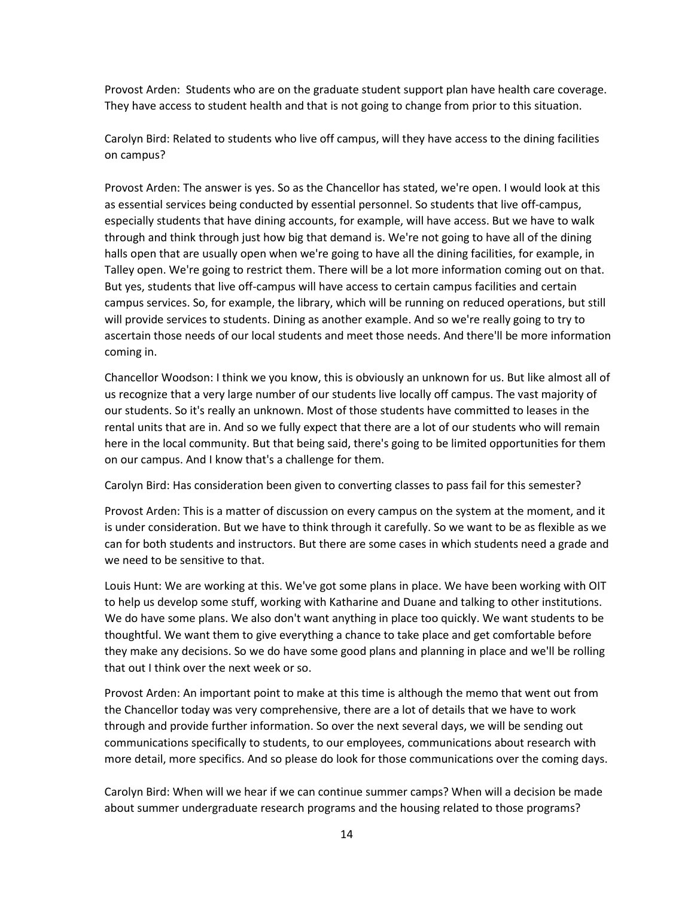Provost Arden: Students who are on the graduate student support plan have health care coverage. They have access to student health and that is not going to change from prior to this situation.

Carolyn Bird: Related to students who live off campus, will they have access to the dining facilities on campus?

Provost Arden: The answer is yes. So as the Chancellor has stated, we're open. I would look at this as essential services being conducted by essential personnel. So students that live off-campus, especially students that have dining accounts, for example, will have access. But we have to walk through and think through just how big that demand is. We're not going to have all of the dining halls open that are usually open when we're going to have all the dining facilities, for example, in Talley open. We're going to restrict them. There will be a lot more information coming out on that. But yes, students that live off-campus will have access to certain campus facilities and certain campus services. So, for example, the library, which will be running on reduced operations, but still will provide services to students. Dining as another example. And so we're really going to try to ascertain those needs of our local students and meet those needs. And there'll be more information coming in.

Chancellor Woodson: I think we you know, this is obviously an unknown for us. But like almost all of us recognize that a very large number of our students live locally off campus. The vast majority of our students. So it's really an unknown. Most of those students have committed to leases in the rental units that are in. And so we fully expect that there are a lot of our students who will remain here in the local community. But that being said, there's going to be limited opportunities for them on our campus. And I know that's a challenge for them.

Carolyn Bird: Has consideration been given to converting classes to pass fail for this semester?

Provost Arden: This is a matter of discussion on every campus on the system at the moment, and it is under consideration. But we have to think through it carefully. So we want to be as flexible as we can for both students and instructors. But there are some cases in which students need a grade and we need to be sensitive to that.

Louis Hunt: We are working at this. We've got some plans in place. We have been working with OIT to help us develop some stuff, working with Katharine and Duane and talking to other institutions. We do have some plans. We also don't want anything in place too quickly. We want students to be thoughtful. We want them to give everything a chance to take place and get comfortable before they make any decisions. So we do have some good plans and planning in place and we'll be rolling that out I think over the next week or so.

Provost Arden: An important point to make at this time is although the memo that went out from the Chancellor today was very comprehensive, there are a lot of details that we have to work through and provide further information. So over the next several days, we will be sending out communications specifically to students, to our employees, communications about research with more detail, more specifics. And so please do look for those communications over the coming days.

Carolyn Bird: When will we hear if we can continue summer camps? When will a decision be made about summer undergraduate research programs and the housing related to those programs?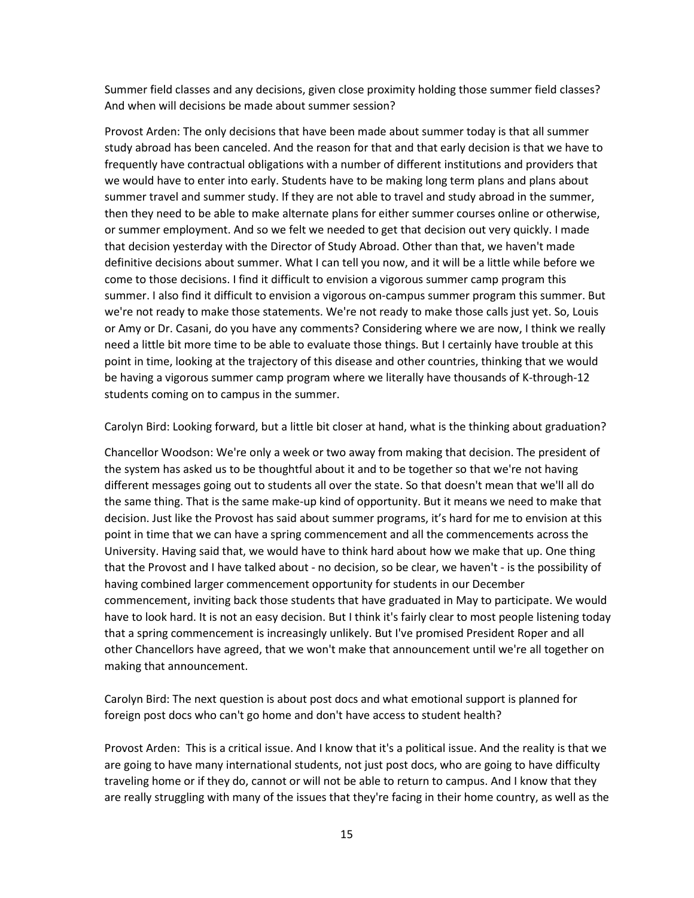Summer field classes and any decisions, given close proximity holding those summer field classes? And when will decisions be made about summer session?

Provost Arden: The only decisions that have been made about summer today is that all summer study abroad has been canceled. And the reason for that and that early decision is that we have to frequently have contractual obligations with a number of different institutions and providers that we would have to enter into early. Students have to be making long term plans and plans about summer travel and summer study. If they are not able to travel and study abroad in the summer, then they need to be able to make alternate plans for either summer courses online or otherwise, or summer employment. And so we felt we needed to get that decision out very quickly. I made that decision yesterday with the Director of Study Abroad. Other than that, we haven't made definitive decisions about summer. What I can tell you now, and it will be a little while before we come to those decisions. I find it difficult to envision a vigorous summer camp program this summer. I also find it difficult to envision a vigorous on-campus summer program this summer. But we're not ready to make those statements. We're not ready to make those calls just yet. So, Louis or Amy or Dr. Casani, do you have any comments? Considering where we are now, I think we really need a little bit more time to be able to evaluate those things. But I certainly have trouble at this point in time, looking at the trajectory of this disease and other countries, thinking that we would be having a vigorous summer camp program where we literally have thousands of K-through-12 students coming on to campus in the summer.

Carolyn Bird: Looking forward, but a little bit closer at hand, what is the thinking about graduation?

Chancellor Woodson: We're only a week or two away from making that decision. The president of the system has asked us to be thoughtful about it and to be together so that we're not having different messages going out to students all over the state. So that doesn't mean that we'll all do the same thing. That is the same make-up kind of opportunity. But it means we need to make that decision. Just like the Provost has said about summer programs, it's hard for me to envision at this point in time that we can have a spring commencement and all the commencements across the University. Having said that, we would have to think hard about how we make that up. One thing that the Provost and I have talked about - no decision, so be clear, we haven't - is the possibility of having combined larger commencement opportunity for students in our December commencement, inviting back those students that have graduated in May to participate. We would have to look hard. It is not an easy decision. But I think it's fairly clear to most people listening today that a spring commencement is increasingly unlikely. But I've promised President Roper and all other Chancellors have agreed, that we won't make that announcement until we're all together on making that announcement.

Carolyn Bird: The next question is about post docs and what emotional support is planned for foreign post docs who can't go home and don't have access to student health?

Provost Arden: This is a critical issue. And I know that it's a political issue. And the reality is that we are going to have many international students, not just post docs, who are going to have difficulty traveling home or if they do, cannot or will not be able to return to campus. And I know that they are really struggling with many of the issues that they're facing in their home country, as well as the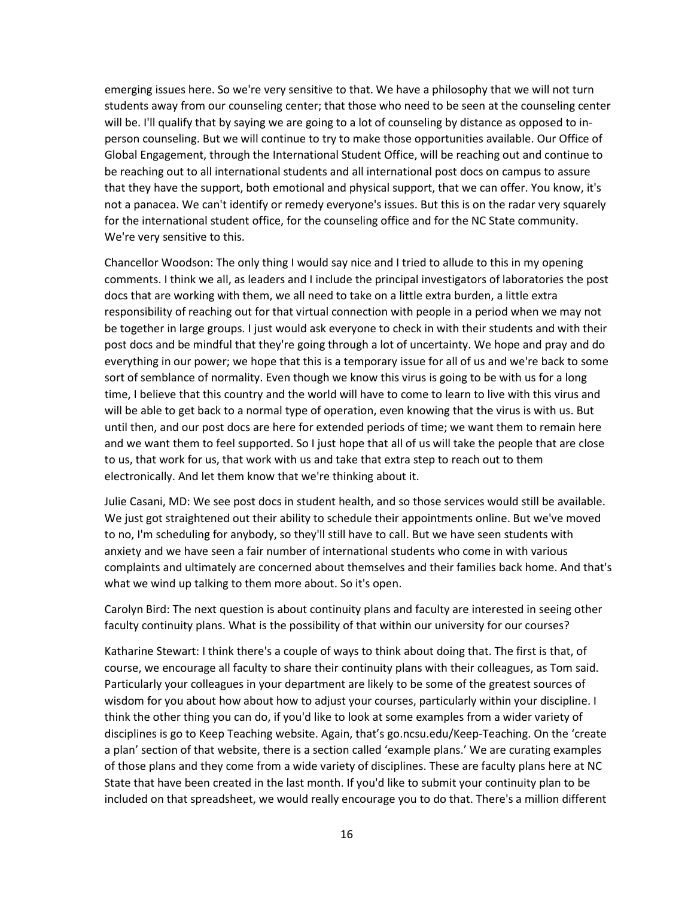emerging issues here. So we're very sensitive to that. We have a philosophy that we will not turn students away from our counseling center; that those who need to be seen at the counseling center will be. I'll qualify that by saying we are going to a lot of counseling by distance as opposed to inperson counseling. But we will continue to try to make those opportunities available. Our Office of Global Engagement, through the International Student Office, will be reaching out and continue to be reaching out to all international students and all international post docs on campus to assure that they have the support, both emotional and physical support, that we can offer. You know, it's not a panacea. We can't identify or remedy everyone's issues. But this is on the radar very squarely for the international student office, for the counseling office and for the NC State community. We're very sensitive to this.

Chancellor Woodson: The only thing I would say nice and I tried to allude to this in my opening comments. I think we all, as leaders and I include the principal investigators of laboratories the post docs that are working with them, we all need to take on a little extra burden, a little extra responsibility of reaching out for that virtual connection with people in a period when we may not be together in large groups. I just would ask everyone to check in with their students and with their post docs and be mindful that they're going through a lot of uncertainty. We hope and pray and do everything in our power; we hope that this is a temporary issue for all of us and we're back to some sort of semblance of normality. Even though we know this virus is going to be with us for a long time, I believe that this country and the world will have to come to learn to live with this virus and will be able to get back to a normal type of operation, even knowing that the virus is with us. But until then, and our post docs are here for extended periods of time; we want them to remain here and we want them to feel supported. So I just hope that all of us will take the people that are close to us, that work for us, that work with us and take that extra step to reach out to them electronically. And let them know that we're thinking about it.

Julie Casani, MD: We see post docs in student health, and so those services would still be available. We just got straightened out their ability to schedule their appointments online. But we've moved to no, I'm scheduling for anybody, so they'll still have to call. But we have seen students with anxiety and we have seen a fair number of international students who come in with various complaints and ultimately are concerned about themselves and their families back home. And that's what we wind up talking to them more about. So it's open.

Carolyn Bird: The next question is about continuity plans and faculty are interested in seeing other faculty continuity plans. What is the possibility of that within our university for our courses?

Katharine Stewart: I think there's a couple of ways to think about doing that. The first is that, of course, we encourage all faculty to share their continuity plans with their colleagues, as Tom said. Particularly your colleagues in your department are likely to be some of the greatest sources of wisdom for you about how about how to adjust your courses, particularly within your discipline. I think the other thing you can do, if you'd like to look at some examples from a wider variety of disciplines is go to Keep Teaching website. Again, that's go.ncsu.edu/Keep-Teaching. On the 'create a plan' section of that website, there is a section called 'example plans.' We are curating examples of those plans and they come from a wide variety of disciplines. These are faculty plans here at NC State that have been created in the last month. If you'd like to submit your continuity plan to be included on that spreadsheet, we would really encourage you to do that. There's a million different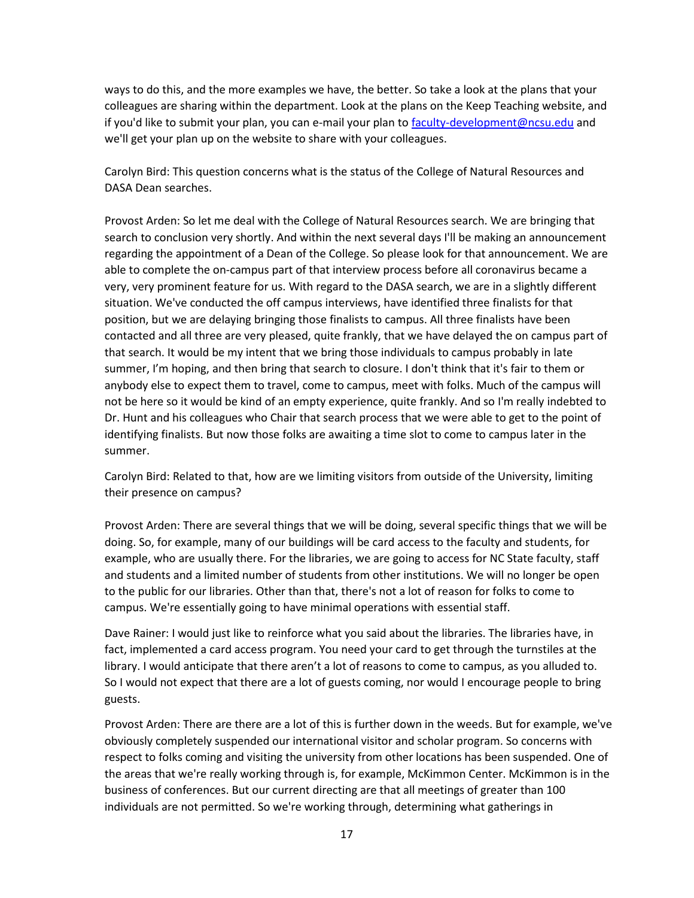ways to do this, and the more examples we have, the better. So take a look at the plans that your colleagues are sharing within the department. Look at the plans on the Keep Teaching website, and if you'd like to submit your plan, you can e-mail your plan to [faculty-development@ncsu.edu](mailto:faculty-development@ncsu.edu) and we'll get your plan up on the website to share with your colleagues.

Carolyn Bird: This question concerns what is the status of the College of Natural Resources and DASA Dean searches.

Provost Arden: So let me deal with the College of Natural Resources search. We are bringing that search to conclusion very shortly. And within the next several days I'll be making an announcement regarding the appointment of a Dean of the College. So please look for that announcement. We are able to complete the on-campus part of that interview process before all coronavirus became a very, very prominent feature for us. With regard to the DASA search, we are in a slightly different situation. We've conducted the off campus interviews, have identified three finalists for that position, but we are delaying bringing those finalists to campus. All three finalists have been contacted and all three are very pleased, quite frankly, that we have delayed the on campus part of that search. It would be my intent that we bring those individuals to campus probably in late summer, I'm hoping, and then bring that search to closure. I don't think that it's fair to them or anybody else to expect them to travel, come to campus, meet with folks. Much of the campus will not be here so it would be kind of an empty experience, quite frankly. And so I'm really indebted to Dr. Hunt and his colleagues who Chair that search process that we were able to get to the point of identifying finalists. But now those folks are awaiting a time slot to come to campus later in the summer.

Carolyn Bird: Related to that, how are we limiting visitors from outside of the University, limiting their presence on campus?

Provost Arden: There are several things that we will be doing, several specific things that we will be doing. So, for example, many of our buildings will be card access to the faculty and students, for example, who are usually there. For the libraries, we are going to access for NC State faculty, staff and students and a limited number of students from other institutions. We will no longer be open to the public for our libraries. Other than that, there's not a lot of reason for folks to come to campus. We're essentially going to have minimal operations with essential staff.

Dave Rainer: I would just like to reinforce what you said about the libraries. The libraries have, in fact, implemented a card access program. You need your card to get through the turnstiles at the library. I would anticipate that there aren't a lot of reasons to come to campus, as you alluded to. So I would not expect that there are a lot of guests coming, nor would I encourage people to bring guests.

Provost Arden: There are there are a lot of this is further down in the weeds. But for example, we've obviously completely suspended our international visitor and scholar program. So concerns with respect to folks coming and visiting the university from other locations has been suspended. One of the areas that we're really working through is, for example, McKimmon Center. McKimmon is in the business of conferences. But our current directing are that all meetings of greater than 100 individuals are not permitted. So we're working through, determining what gatherings in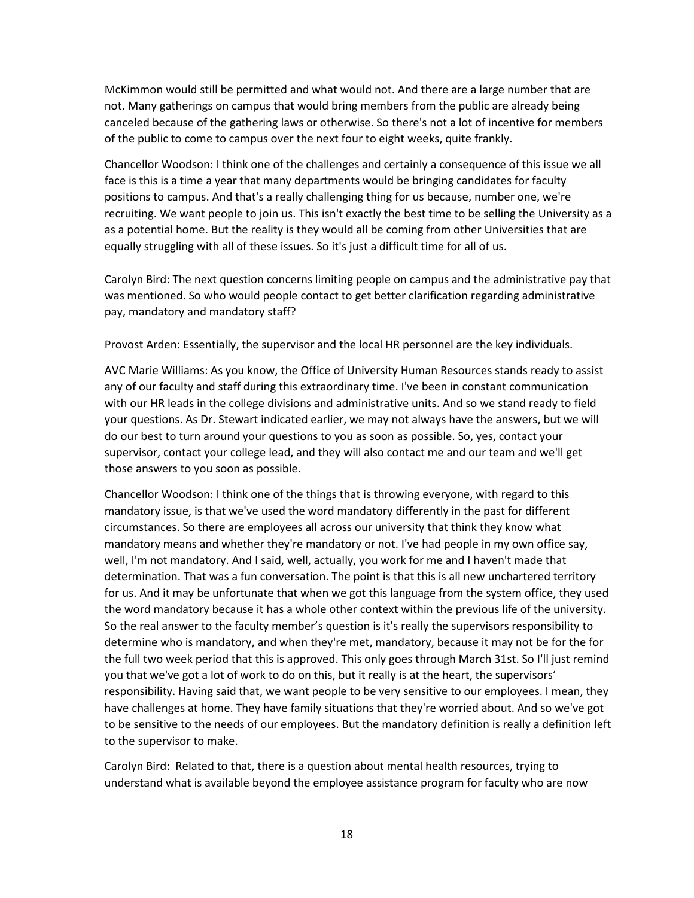McKimmon would still be permitted and what would not. And there are a large number that are not. Many gatherings on campus that would bring members from the public are already being canceled because of the gathering laws or otherwise. So there's not a lot of incentive for members of the public to come to campus over the next four to eight weeks, quite frankly.

Chancellor Woodson: I think one of the challenges and certainly a consequence of this issue we all face is this is a time a year that many departments would be bringing candidates for faculty positions to campus. And that's a really challenging thing for us because, number one, we're recruiting. We want people to join us. This isn't exactly the best time to be selling the University as a as a potential home. But the reality is they would all be coming from other Universities that are equally struggling with all of these issues. So it's just a difficult time for all of us.

Carolyn Bird: The next question concerns limiting people on campus and the administrative pay that was mentioned. So who would people contact to get better clarification regarding administrative pay, mandatory and mandatory staff?

Provost Arden: Essentially, the supervisor and the local HR personnel are the key individuals.

AVC Marie Williams: As you know, the Office of University Human Resources stands ready to assist any of our faculty and staff during this extraordinary time. I've been in constant communication with our HR leads in the college divisions and administrative units. And so we stand ready to field your questions. As Dr. Stewart indicated earlier, we may not always have the answers, but we will do our best to turn around your questions to you as soon as possible. So, yes, contact your supervisor, contact your college lead, and they will also contact me and our team and we'll get those answers to you soon as possible.

Chancellor Woodson: I think one of the things that is throwing everyone, with regard to this mandatory issue, is that we've used the word mandatory differently in the past for different circumstances. So there are employees all across our university that think they know what mandatory means and whether they're mandatory or not. I've had people in my own office say, well, I'm not mandatory. And I said, well, actually, you work for me and I haven't made that determination. That was a fun conversation. The point is that this is all new unchartered territory for us. And it may be unfortunate that when we got this language from the system office, they used the word mandatory because it has a whole other context within the previous life of the university. So the real answer to the faculty member's question is it's really the supervisors responsibility to determine who is mandatory, and when they're met, mandatory, because it may not be for the for the full two week period that this is approved. This only goes through March 31st. So I'll just remind you that we've got a lot of work to do on this, but it really is at the heart, the supervisors' responsibility. Having said that, we want people to be very sensitive to our employees. I mean, they have challenges at home. They have family situations that they're worried about. And so we've got to be sensitive to the needs of our employees. But the mandatory definition is really a definition left to the supervisor to make.

Carolyn Bird: Related to that, there is a question about mental health resources, trying to understand what is available beyond the employee assistance program for faculty who are now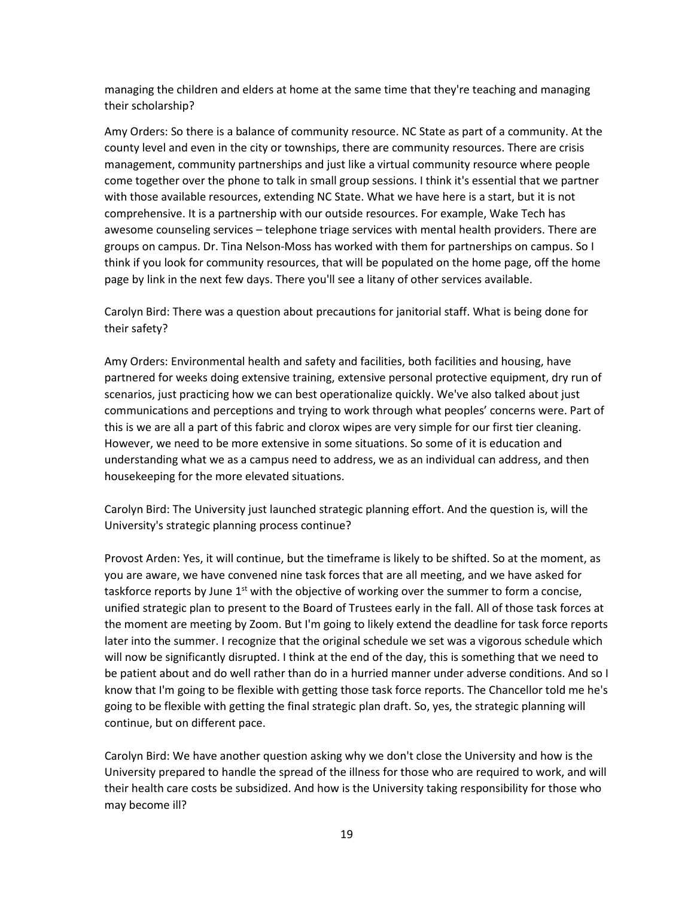managing the children and elders at home at the same time that they're teaching and managing their scholarship?

Amy Orders: So there is a balance of community resource. NC State as part of a community. At the county level and even in the city or townships, there are community resources. There are crisis management, community partnerships and just like a virtual community resource where people come together over the phone to talk in small group sessions. I think it's essential that we partner with those available resources, extending NC State. What we have here is a start, but it is not comprehensive. It is a partnership with our outside resources. For example, Wake Tech has awesome counseling services – telephone triage services with mental health providers. There are groups on campus. Dr. Tina Nelson-Moss has worked with them for partnerships on campus. So I think if you look for community resources, that will be populated on the home page, off the home page by link in the next few days. There you'll see a litany of other services available.

Carolyn Bird: There was a question about precautions for janitorial staff. What is being done for their safety?

Amy Orders: Environmental health and safety and facilities, both facilities and housing, have partnered for weeks doing extensive training, extensive personal protective equipment, dry run of scenarios, just practicing how we can best operationalize quickly. We've also talked about just communications and perceptions and trying to work through what peoples' concerns were. Part of this is we are all a part of this fabric and clorox wipes are very simple for our first tier cleaning. However, we need to be more extensive in some situations. So some of it is education and understanding what we as a campus need to address, we as an individual can address, and then housekeeping for the more elevated situations.

Carolyn Bird: The University just launched strategic planning effort. And the question is, will the University's strategic planning process continue?

Provost Arden: Yes, it will continue, but the timeframe is likely to be shifted. So at the moment, as you are aware, we have convened nine task forces that are all meeting, and we have asked for taskforce reports by June  $1<sup>st</sup>$  with the objective of working over the summer to form a concise, unified strategic plan to present to the Board of Trustees early in the fall. All of those task forces at the moment are meeting by Zoom. But I'm going to likely extend the deadline for task force reports later into the summer. I recognize that the original schedule we set was a vigorous schedule which will now be significantly disrupted. I think at the end of the day, this is something that we need to be patient about and do well rather than do in a hurried manner under adverse conditions. And so I know that I'm going to be flexible with getting those task force reports. The Chancellor told me he's going to be flexible with getting the final strategic plan draft. So, yes, the strategic planning will continue, but on different pace.

Carolyn Bird: We have another question asking why we don't close the University and how is the University prepared to handle the spread of the illness for those who are required to work, and will their health care costs be subsidized. And how is the University taking responsibility for those who may become ill?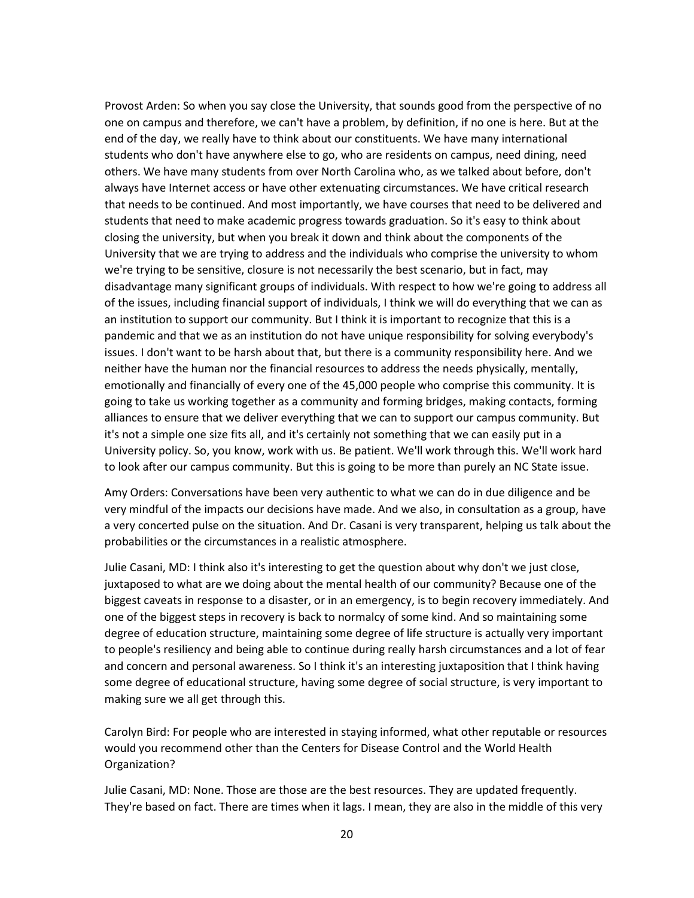Provost Arden: So when you say close the University, that sounds good from the perspective of no one on campus and therefore, we can't have a problem, by definition, if no one is here. But at the end of the day, we really have to think about our constituents. We have many international students who don't have anywhere else to go, who are residents on campus, need dining, need others. We have many students from over North Carolina who, as we talked about before, don't always have Internet access or have other extenuating circumstances. We have critical research that needs to be continued. And most importantly, we have courses that need to be delivered and students that need to make academic progress towards graduation. So it's easy to think about closing the university, but when you break it down and think about the components of the University that we are trying to address and the individuals who comprise the university to whom we're trying to be sensitive, closure is not necessarily the best scenario, but in fact, may disadvantage many significant groups of individuals. With respect to how we're going to address all of the issues, including financial support of individuals, I think we will do everything that we can as an institution to support our community. But I think it is important to recognize that this is a pandemic and that we as an institution do not have unique responsibility for solving everybody's issues. I don't want to be harsh about that, but there is a community responsibility here. And we neither have the human nor the financial resources to address the needs physically, mentally, emotionally and financially of every one of the 45,000 people who comprise this community. It is going to take us working together as a community and forming bridges, making contacts, forming alliances to ensure that we deliver everything that we can to support our campus community. But it's not a simple one size fits all, and it's certainly not something that we can easily put in a University policy. So, you know, work with us. Be patient. We'll work through this. We'll work hard to look after our campus community. But this is going to be more than purely an NC State issue.

Amy Orders: Conversations have been very authentic to what we can do in due diligence and be very mindful of the impacts our decisions have made. And we also, in consultation as a group, have a very concerted pulse on the situation. And Dr. Casani is very transparent, helping us talk about the probabilities or the circumstances in a realistic atmosphere.

Julie Casani, MD: I think also it's interesting to get the question about why don't we just close, juxtaposed to what are we doing about the mental health of our community? Because one of the biggest caveats in response to a disaster, or in an emergency, is to begin recovery immediately. And one of the biggest steps in recovery is back to normalcy of some kind. And so maintaining some degree of education structure, maintaining some degree of life structure is actually very important to people's resiliency and being able to continue during really harsh circumstances and a lot of fear and concern and personal awareness. So I think it's an interesting juxtaposition that I think having some degree of educational structure, having some degree of social structure, is very important to making sure we all get through this.

Carolyn Bird: For people who are interested in staying informed, what other reputable or resources would you recommend other than the Centers for Disease Control and the World Health Organization?

Julie Casani, MD: None. Those are those are the best resources. They are updated frequently. They're based on fact. There are times when it lags. I mean, they are also in the middle of this very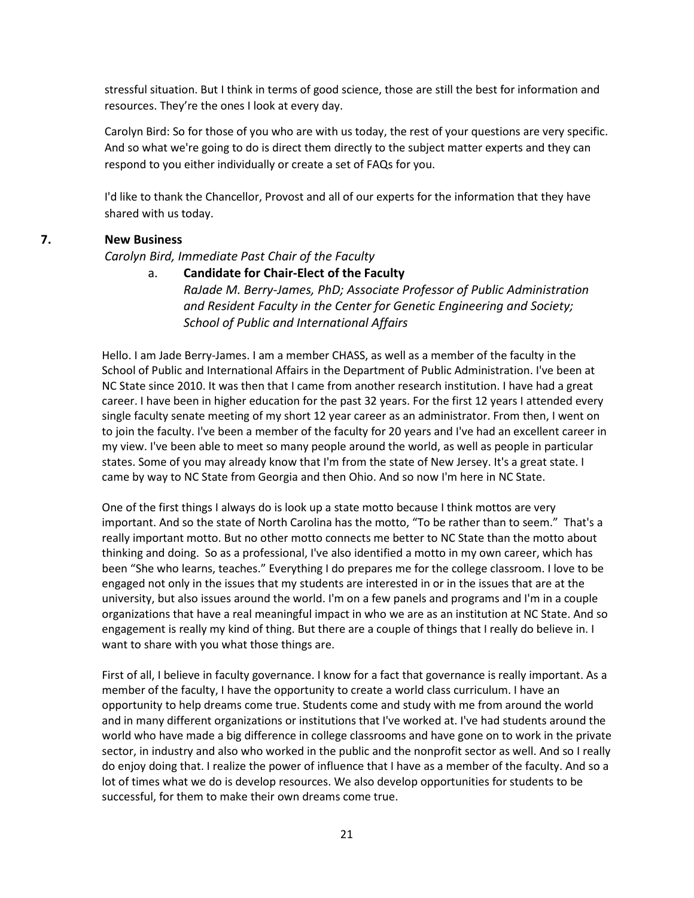stressful situation. But I think in terms of good science, those are still the best for information and resources. They're the ones I look at every day.

Carolyn Bird: So for those of you who are with us today, the rest of your questions are very specific. And so what we're going to do is direct them directly to the subject matter experts and they can respond to you either individually or create a set of FAQs for you.

I'd like to thank the Chancellor, Provost and all of our experts for the information that they have shared with us today.

## **7. New Business**

#### *Carolyn Bird, Immediate Past Chair of the Faculty*

a. **Candidate for Chair-Elect of the Faculty** *RaJade M. Berry-James, PhD; Associate Professor of Public Administration and Resident Faculty in the Center for Genetic Engineering and Society; School of Public and International Affairs*

Hello. I am Jade Berry-James. I am a member CHASS, as well as a member of the faculty in the School of Public and International Affairs in the Department of Public Administration. I've been at NC State since 2010. It was then that I came from another research institution. I have had a great career. I have been in higher education for the past 32 years. For the first 12 years I attended every single faculty senate meeting of my short 12 year career as an administrator. From then, I went on to join the faculty. I've been a member of the faculty for 20 years and I've had an excellent career in my view. I've been able to meet so many people around the world, as well as people in particular states. Some of you may already know that I'm from the state of New Jersey. It's a great state. I came by way to NC State from Georgia and then Ohio. And so now I'm here in NC State.

One of the first things I always do is look up a state motto because I think mottos are very important. And so the state of North Carolina has the motto, "To be rather than to seem." That's a really important motto. But no other motto connects me better to NC State than the motto about thinking and doing. So as a professional, I've also identified a motto in my own career, which has been "She who learns, teaches." Everything I do prepares me for the college classroom. I love to be engaged not only in the issues that my students are interested in or in the issues that are at the university, but also issues around the world. I'm on a few panels and programs and I'm in a couple organizations that have a real meaningful impact in who we are as an institution at NC State. And so engagement is really my kind of thing. But there are a couple of things that I really do believe in. I want to share with you what those things are.

First of all, I believe in faculty governance. I know for a fact that governance is really important. As a member of the faculty, I have the opportunity to create a world class curriculum. I have an opportunity to help dreams come true. Students come and study with me from around the world and in many different organizations or institutions that I've worked at. I've had students around the world who have made a big difference in college classrooms and have gone on to work in the private sector, in industry and also who worked in the public and the nonprofit sector as well. And so I really do enjoy doing that. I realize the power of influence that I have as a member of the faculty. And so a lot of times what we do is develop resources. We also develop opportunities for students to be successful, for them to make their own dreams come true.